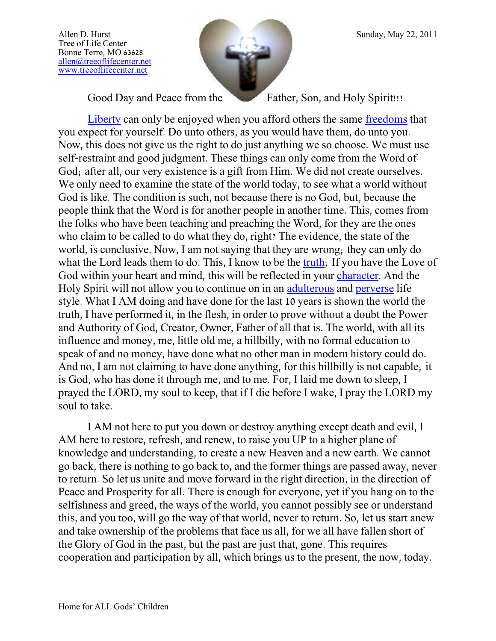Tree of Life Center Bonne Terre, MO 63628 [allen@treeoflifecenter.net](mailto:allen@treeoflifecenter.net) [www.treeoflifecenter.net](http://www.treeoflifecenter.net/)



Good Day and Peace from the Father, Son, and Holy Spirit!!!

[Liberty](http://www.merriam-webster.com/dictionary/liberty) can only be enjoyed when you afford others the same [freedoms](http://www.merriam-webster.com/dictionary/freedom) that you expect for yourself. Do unto others, as you would have them, do unto you. Now, this does not give us the right to do just anything we so choose. We must use self-restraint and good judgment. These things can only come from the Word of God; after all, our very existence is a gift from Him. We did not create ourselves. We only need to examine the state of the world today, to see what a world without God is like. The condition is such, not because there is no God, but, because the people think that the Word is for another people in another time. This, comes from the folks who have been teaching and preaching the Word, for they are the ones who claim to be called to do what they do, right? The evidence, the state of the world, is conclusive. Now, I am not saying that they are wrong; they can only do what the Lord leads them to do. This, I know to be the [truth;](http://www.newadvent.org/cathen/15073a.htm) If you have the Love of God within your heart and mind, this will be reflected in your [character.](http://www.newadvent.org/cathen/03584b.htm) And the Holy Spirit will not allow you to continue on in an [adulterous](http://www.newadvent.org/fathers/310237.htm) and [perverse](http://www.newadvent.org/fathers/1102043.htm) life style. What I AM doing and have done for the last 10 years is shown the world the truth, I have performed it, in the flesh, in order to prove without a doubt the Power and Authority of God, Creator, Owner, Father of all that is. The world, with all its influence and money, me, little old me, a hillbilly, with no formal education to speak of and no money, have done what no other man in modern history could do. And no, I am not claiming to have done anything, for this hillbilly is not capable; it is God, who has done it through me, and to me. For, I laid me down to sleep, I prayed the LORD, my soul to keep, that if I die before I wake, I pray the LORD my soul to take.

I AM not here to put you down or destroy anything except death and evil, I AM here to restore, refresh, and renew, to raise you UP to a higher plane of knowledge and understanding, to create a new Heaven and a new earth. We cannot go back, there is nothing to go back to, and the former things are passed away, never to return. So let us unite and move forward in the right direction, in the direction of Peace and Prosperity for all. There is enough for everyone, yet if you hang on to the selfishness and greed, the ways of the world, you cannot possibly see or understand this, and you too, will go the way of that world, never to return. So, let us start anew and take ownership of the problems that face us all, for we all have fallen short of the Glory of God in the past, but the past are just that, gone. This requires cooperation and participation by all, which brings us to the present, the now, today.